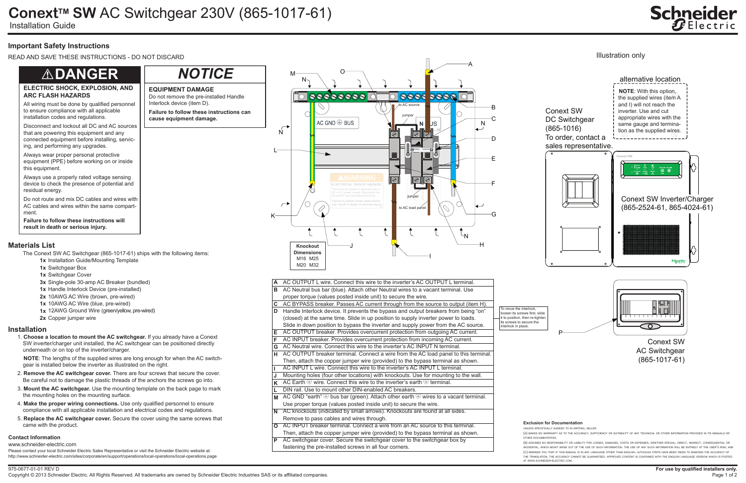#### 975-0677-01-01 REV D Copyright © 2013 Schneider Electric. All Rights Reserved. All trademarks are owned by Schneider Electric Industries SAS or its affiliated companies.

# **Schneider**

## **ConextTM SW** AC Switchgear 230V (865-1017-61)

Installation Guide

#### **Contact Information**

www.schneider-electric.com

Please contact your local Schneider Electric Sales Representative or visit the Schneider Electric website at: http://www.schneider-electric.com/sites/corporate/en/support/operations/local-operations/local-operations.page

#### **Exclusion for Documentation**

#### UNLESS SPECIFICALLY AGREED TO IN WRITING, SELLER

(A) MAKES NO WARRANTY AS TO THE ACCURACY, SUFFICIENCY OR SUITABILITY OF ANY TECHNICAL OR OTHER INFORMATION PROVIDED IN ITS MANUALS OR

OTHER DOCUMENTATION;

(B) ASSUMES NO RESPONSIBILITY OR LIABILITY FOR LOSSES, DAMAGES, COSTS OR EXPENSES, WHETHER SPECIAL, DIRECT, INDIRECT, CONSEQUENTIAL OR .<br>NCIDENTAL, WHICH MIGHT ARISE OUT OF THE USE OF SUCH INFORMATION. THE USE OF ANY SUCH INFORMATION WILL BE ENTIRELY AT THE USER'S RISK, AND (C) REMINDS YOU THAT IF THIS MANUAL IS IN ANY LANGUAGE OTHER THAN ENGLISH, ALTHOUGH STEPS HAVE BEEN TAKEN TO MAINTAIN THE ACCURACY OF THE TRANSLATION, THE ACCURACY CANNOT BE GUARANTEED. APPROVED CONTENT IS CONTAINED WITH THE ENGLISH LANGUAGE VERSION WHICH IS POSTED AT WWW.SCHNEIDER-ELECTRIC.COM.

### **Important Safety Instructions**

READ AND SAVE THESE INSTRUCTIONS - DO NOT DISCARD

#### **Installation**

1. **Choose a location to mount the AC switchgear.** If you already have a Conext SW inverter/charger unit installed, the AC switchgear can be positioned directly underneath or on top of the inverter/charger.

 **NOTE**: The lengths of the supplied wires are long enough for when the AC switchgear is installed below the inverter as illustrated on the right.

- 2. **Remove the AC switchgear cover.** There are four screws that secure the cover. Be careful not to damage the plastic threads of the anchors the screws go into.
- 3. **Mount the AC switchgear.** Use the mounting template on the back page to mark the mounting holes on the mounting surface.
- 4. **Make the proper wiring connections.** Use only qualified personnel to ensure compliance with all applicable installation and electrical codes and regulations.
- 5. **Replace the AC switchgear cover.** Secure the cover using the same screws that came with the product.

To move the interlock, loosen its screws first, slide  $\overline{\phantom{\alpha}}$  it to position, then re-tighten its screws to secure the nterlock in place

| A  | AC OUTPUT L wire. Connect this wire to the inverter's AC OUTPUT L terminal.                      |
|----|--------------------------------------------------------------------------------------------------|
| в  | AC Neutral bus bar (blue). Attach other Neutral wires to a vacant terminal. Use                  |
|    | proper torque (values posted inside unit) to secure the wire.                                    |
| C  | AC BYPASS breaker. Passes AC current through from the source to output (item H).                 |
| D  | Handle Interlock device. It prevents the bypass and output breakers from being "on"              |
|    | (closed) at the same time. Slide in up position to supply inverter power to loads.               |
|    | Slide in down position to bypass the inverter and supply power from the AC source.               |
| Е  | AC OUTPUT breaker. Provides overcurrent protection from outgoing AC current.                     |
| F  | AC INPUT breaker. Provides overcurrent protection from incoming AC current.                      |
| G  | AC Neutral wire. Connect this wire to the inverter's AC INPUT N terminal.                        |
| н  | AC OUTPUT breaker terminal. Connect a wire from the AC load panel to this terminal.              |
|    | Then, attach the copper jumper wire (provided) to the bypass terminal as shown.                  |
|    | AC INPUT L wire. Connect this wire to the inverter's AC INPUT L terminal.                        |
| J  | Mounting holes (four other locations) with knockouts. Use for mounting to the wall.              |
| K  | AC Earth $\bigcirc$ wire. Connect this wire to the inverter's earth $\bigcirc$ terminal.         |
| L. | DIN rail. Use to mount other DIN-enabled AC breakers.                                            |
| M  | AC GND "earth" $\oplus$ bus bar (green). Attach other earth $\oplus$ wires to a vacant terminal. |
|    | Use proper torque (values posted inside unit) to secure the wire.                                |
| N  | AC knockouts (indicated by small arrows). Knockouts are found at all sides.                      |
|    | Remove to pass cables and wires through.                                                         |
| O  | AC INPUT breaker terminal. Connect a wire from an AC source to this terminal.                    |
|    | Then, attach the copper jumper wire (provided) to the bypass terminal as shown.                  |
| P  | AC switchgear cover. Secure the switchgear cover to the switchgear box by                        |
|    | fastening the pre-installed screws in all four corners.                                          |



- **1x** Installation Guide/Mounting Template
- **1x** Switchgear Box
- **1x** Switchgear Cover
- **3x** Single-pole 30-amp AC Breaker (bundled)
- **1x** Handle Interlock Device (pre-installed)
- **2x** 10AWG AC Wire (brown, pre-wired)
- **1x** 10AWG AC Wire (blue, pre-wired)
- **1x** 12AWG Ground Wire (green/yellow, pre-wired)
- **2x** Copper jumper wire

#### **Materials List**

The Conext SW AC Switchgear (865-1017-61) ships with the following items:

#### **ELECTRIC SHOCK, EXPLOSION, AND ARC FLASH HAZARDS**

**Failure to follow these instructions will result in death or serious injury.**

All wiring must be done by qualified personnel to ensure compliance with all applicable installation codes and regulations.



Disconnect and lockout all DC and AC sources that are powering this equipment and any connected equipment before installing, servicing, and performing any upgrades.

Always wear proper personal protective equipment (PPE) before working on or inside this equipment.

Always use a properly rated voltage sensing device to check the presence of potential and residual energy.

Do not route and mix DC cables and wires with AC cables and wires within the same compartment.

## !**DANGER**

**EQUIPMENT DAMAGE**

**Failure to follow these instructions can** 

**cause equipment damage.**

Do not remove the pre-installed Handle

Interlock device (item D).

*NOTICE*

Illustration only